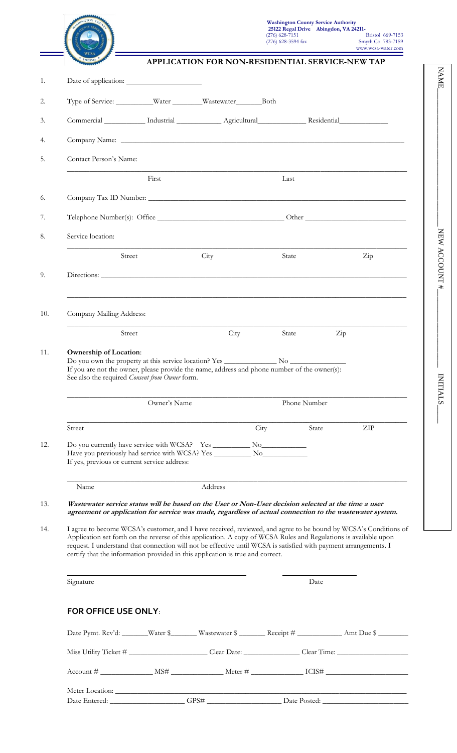

| $(276)$ 628-3594 fax                                   | <b>Smyth Co. 783-7159</b><br>www.wcsa-water.com |
|--------------------------------------------------------|-------------------------------------------------|
| <b>APPLICATION FOR NON-RESIDENTIAL SERVICE-NEW TAP</b> |                                                 |

NAME\_\_\_\_\_\_\_\_\_\_\_\_\_\_\_\_\_\_\_\_\_\_\_\_\_\_\_\_\_\_\_\_\_\_\_\_\_ NEW ACCOUNT #\_\_\_\_\_\_\_\_\_\_\_\_\_\_\_\_\_\_\_\_\_

NEW ACCOUNT#

NAME.

INITIALS\_\_\_\_\_

**INITIALS** 

| Type of Service: ___________Water ________Wastewater _______________Both                                                                                                                                                                                                                                                                                                                                                                                                                                                                                                                                                                                      |                                                                |                                                                                          |              |                      |     |
|---------------------------------------------------------------------------------------------------------------------------------------------------------------------------------------------------------------------------------------------------------------------------------------------------------------------------------------------------------------------------------------------------------------------------------------------------------------------------------------------------------------------------------------------------------------------------------------------------------------------------------------------------------------|----------------------------------------------------------------|------------------------------------------------------------------------------------------|--------------|----------------------|-----|
| Commercial ___________ Industrial _____________ Agricultural ______________ Residential ____________                                                                                                                                                                                                                                                                                                                                                                                                                                                                                                                                                          |                                                                |                                                                                          |              |                      |     |
|                                                                                                                                                                                                                                                                                                                                                                                                                                                                                                                                                                                                                                                               |                                                                |                                                                                          |              |                      |     |
| Contact Person's Name:                                                                                                                                                                                                                                                                                                                                                                                                                                                                                                                                                                                                                                        |                                                                |                                                                                          |              |                      |     |
|                                                                                                                                                                                                                                                                                                                                                                                                                                                                                                                                                                                                                                                               | First                                                          |                                                                                          | Last         |                      |     |
|                                                                                                                                                                                                                                                                                                                                                                                                                                                                                                                                                                                                                                                               |                                                                |                                                                                          |              |                      |     |
|                                                                                                                                                                                                                                                                                                                                                                                                                                                                                                                                                                                                                                                               |                                                                |                                                                                          |              |                      |     |
| Service location:                                                                                                                                                                                                                                                                                                                                                                                                                                                                                                                                                                                                                                             |                                                                |                                                                                          |              |                      |     |
| Street                                                                                                                                                                                                                                                                                                                                                                                                                                                                                                                                                                                                                                                        |                                                                | City                                                                                     | State        |                      | Zip |
|                                                                                                                                                                                                                                                                                                                                                                                                                                                                                                                                                                                                                                                               |                                                                |                                                                                          |              |                      |     |
| Company Mailing Address:                                                                                                                                                                                                                                                                                                                                                                                                                                                                                                                                                                                                                                      |                                                                | <u> 1989 - Johann Stoff, amerikansk politiker (d. 1989)</u>                              |              |                      |     |
| Street                                                                                                                                                                                                                                                                                                                                                                                                                                                                                                                                                                                                                                                        |                                                                | City                                                                                     | State        | $\operatorname{Zip}$ |     |
|                                                                                                                                                                                                                                                                                                                                                                                                                                                                                                                                                                                                                                                               | See also the required Consent from Owner form.<br>Owner's Name |                                                                                          | Phone Number |                      |     |
| Street                                                                                                                                                                                                                                                                                                                                                                                                                                                                                                                                                                                                                                                        |                                                                |                                                                                          | City         | State                | ZIP |
| If yes, previous or current service address:                                                                                                                                                                                                                                                                                                                                                                                                                                                                                                                                                                                                                  |                                                                |                                                                                          |              |                      |     |
| Name                                                                                                                                                                                                                                                                                                                                                                                                                                                                                                                                                                                                                                                          |                                                                | Address                                                                                  |              |                      |     |
| Wastewater service status will be based on the User or Non-User decision selected at the time a user<br>agreement or application for service was made, regardless of actual connection to the wastewater system.<br>I agree to become WCSA's customer, and I have received, reviewed, and agree to be bound by WCSA's Conditions of<br>Application set forth on the reverse of this application. A copy of WCSA Rules and Regulations is available upon<br>request. I understand that connection will not be effective until WCSA is satisfied with payment arrangements. I<br>certify that the information provided in this application is true and correct. |                                                                |                                                                                          |              |                      |     |
| Signature                                                                                                                                                                                                                                                                                                                                                                                                                                                                                                                                                                                                                                                     |                                                                |                                                                                          |              | Date                 |     |
| <b>FOR OFFICE USE ONLY:</b>                                                                                                                                                                                                                                                                                                                                                                                                                                                                                                                                                                                                                                   |                                                                |                                                                                          |              |                      |     |
|                                                                                                                                                                                                                                                                                                                                                                                                                                                                                                                                                                                                                                                               |                                                                | Date Pymt. Rcv'd: ______Water \$_____Wastewater \$_____Receipt # _____________Amt Due \$ |              |                      |     |
|                                                                                                                                                                                                                                                                                                                                                                                                                                                                                                                                                                                                                                                               |                                                                |                                                                                          |              |                      |     |
|                                                                                                                                                                                                                                                                                                                                                                                                                                                                                                                                                                                                                                                               |                                                                |                                                                                          |              |                      |     |
|                                                                                                                                                                                                                                                                                                                                                                                                                                                                                                                                                                                                                                                               |                                                                |                                                                                          |              |                      |     |
|                                                                                                                                                                                                                                                                                                                                                                                                                                                                                                                                                                                                                                                               |                                                                |                                                                                          |              |                      |     |